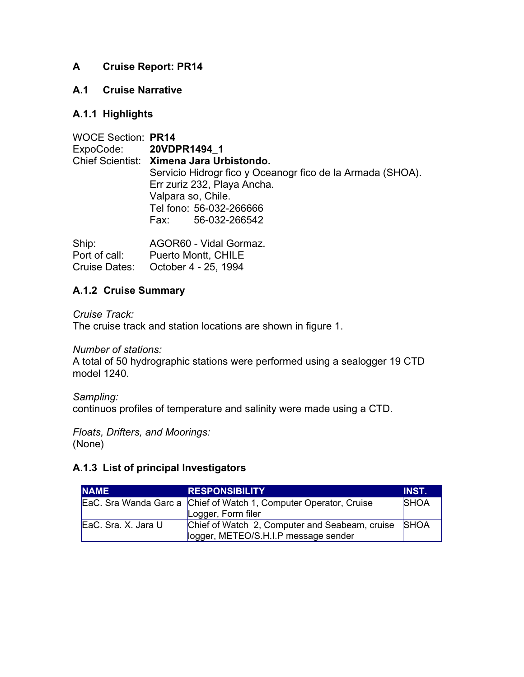## **A Cruise Report: PR14**

### **A.1 Cruise Narrative**

## **A.1.1 Highlights**

| <b>WOCE Section: PR14</b> |                                                            |
|---------------------------|------------------------------------------------------------|
| ExpoCode: 20VDPR1494_1    |                                                            |
|                           | Chief Scientist: Ximena Jara Urbistondo.                   |
|                           | Servicio Hidrogr fico y Oceanogr fico de la Armada (SHOA). |
|                           | Err zuriz 232, Playa Ancha.                                |
|                           | Valpara so, Chile.                                         |
|                           | Tel fono: 56-032-266666                                    |
|                           | Fax: 56-032-266542                                         |
|                           |                                                            |

| Ship:         | AGOR60 - Vidal Gormaz.             |
|---------------|------------------------------------|
| Port of call: | <b>Puerto Montt, CHILE</b>         |
|               | Cruise Dates: October 4 - 25, 1994 |

### **A.1.2 Cruise Summary**

*Cruise Track:* The cruise track and station locations are shown in figure 1.

*Number of stations:*

A total of 50 hydrographic stations were performed using a sealogger 19 CTD model 1240.

*Sampling:*

continuos profiles of temperature and salinity were made using a CTD.

*Floats, Drifters, and Moorings:* (None)

# **A.1.3 List of principal Investigators**

| <b>NAME</b>          | <b>RESPONSIBILITY</b>                                             | <b>INST.</b> |
|----------------------|-------------------------------------------------------------------|--------------|
|                      | EaC. Sra Wanda Garc a Chief of Watch 1, Computer Operator, Cruise | <b>SHOA</b>  |
|                      | Logger, Form filer                                                |              |
| IEaC. Sra. X. Jara U | Chief of Watch 2, Computer and Seabeam, cruise                    | <b>SHOA</b>  |
|                      | logger, METEO/S.H.I.P message sender                              |              |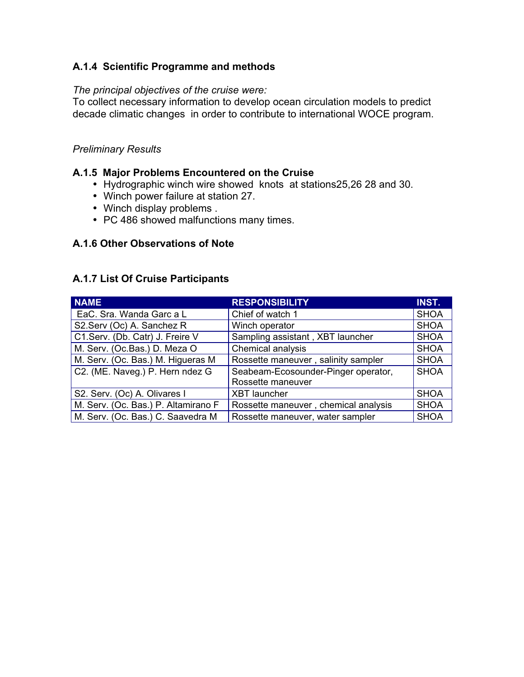## **A.1.4 Scientific Programme and methods**

### *The principal objectives of the cruise were:*

To collect necessary information to develop ocean circulation models to predict decade climatic changes in order to contribute to international WOCE program.

### *Preliminary Results*

### **A.1.5 Major Problems Encountered on the Cruise**

- Hydrographic winch wire showed knots at stations25,26 28 and 30.
- Winch power failure at station 27.
- Winch display problems .
- PC 486 showed malfunctions many times.

### **A.1.6 Other Observations of Note**

#### **A.1.7 List Of Cruise Participants**

| <b>NAME</b>                         | <b>RESPONSIBILITY</b>                | <b>INST.</b> |
|-------------------------------------|--------------------------------------|--------------|
| EaC. Sra. Wanda Garc a L            | Chief of watch 1                     | <b>SHOA</b>  |
| S2.Serv (Oc) A. Sanchez R           | Winch operator                       | <b>SHOA</b>  |
| C1.Serv. (Db. Catr) J. Freire V     | Sampling assistant, XBT launcher     | <b>SHOA</b>  |
| M. Serv. (Oc.Bas.) D. Meza O        | Chemical analysis                    | <b>SHOA</b>  |
| M. Serv. (Oc. Bas.) M. Higueras M   | Rossette maneuver, salinity sampler  | <b>SHOA</b>  |
| C2. (ME. Naveg.) P. Hern ndez G     | Seabeam-Ecosounder-Pinger operator,  | <b>SHOA</b>  |
|                                     | Rossette maneuver                    |              |
| S2. Serv. (Oc) A. Olivares I        | <b>XBT</b> launcher                  | <b>SHOA</b>  |
| M. Serv. (Oc. Bas.) P. Altamirano F | Rossette maneuver, chemical analysis | <b>SHOA</b>  |
| M. Serv. (Oc. Bas.) C. Saavedra M   | Rossette maneuver, water sampler     | <b>SHOA</b>  |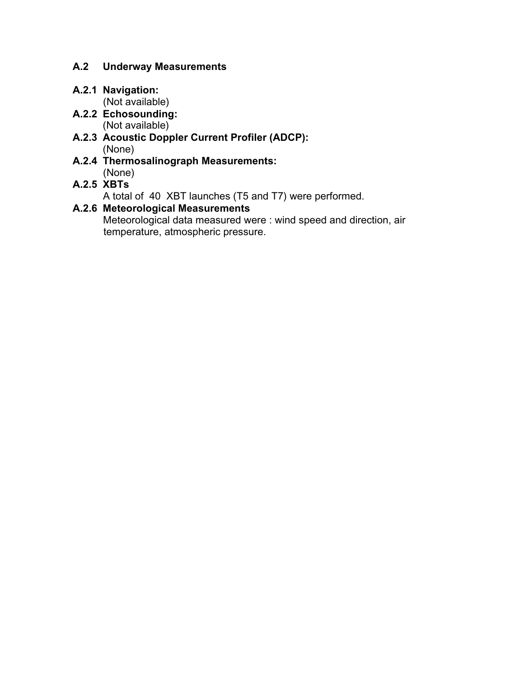# **A.2 Underway Measurements**

# **A.2.1 Navigation:**

(Not available) **A.2.2 Echosounding:**

(Not available)

- **A.2.3 Acoustic Doppler Current Profiler (ADCP):** (None)
- **A.2.4 Thermosalinograph Measurements:** (None)

# **A.2.5 XBTs**

A total of 40 XBT launches (T5 and T7) were performed.

# **A.2.6 Meteorological Measurements**

Meteorological data measured were : wind speed and direction, air temperature, atmospheric pressure.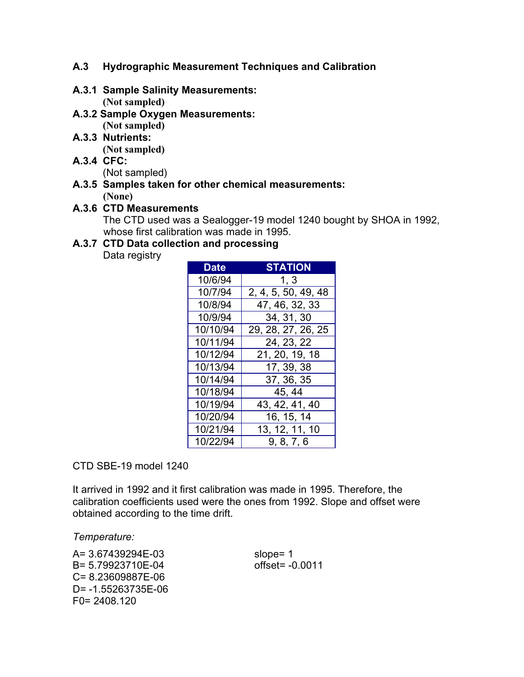### **A.3 Hydrographic Measurement Techniques and Calibration**

- **A.3.1 Sample Salinity Measurements: (Not sampled)**
- **A.3.2 Sample Oxygen Measurements: (Not sampled)**
- **A.3.3 Nutrients:**

**(Not sampled)**

- **A.3.4 CFC:** (Not sampled)
- **A.3.5 Samples taken for other chemical measurements: (None)**

# **A.3.6 CTD Measurements**

The CTD used was a Sealogger-19 model 1240 bought by SHOA in 1992, whose first calibration was made in 1995.

# **A.3.7 CTD Data collection and processing**

Data registry

| <b>Date</b> | <b>STATION</b>        |
|-------------|-----------------------|
| 10/6/94     | 1, 3                  |
| 10/7/94     | 2, 4, 5, 50, 49, 48   |
| 10/8/94     | 47, 46, 32, 33        |
| 10/9/94     | 34, 31, 30            |
| 10/10/94    | 29, 28, 27, 26, 25    |
| 10/11/94    | 24, 23, 22            |
| 10/12/94    | 21, 20, 19, 18        |
| 10/13/94    | 17, 39, 38            |
| 10/14/94    | 37, 36, 35            |
| 10/18/94    | 45, 44                |
| 10/19/94    | 43, 42, 41, 40        |
| 10/20/94    | 16, 15, 14            |
| 10/21/94    | <u>13, 12,</u> 11, 10 |
| 10/22/94    | 9, 8, 7, 6            |

CTD SBE-19 model 1240

It arrived in 1992 and it first calibration was made in 1995. Therefore, the calibration coefficients used were the ones from 1992. Slope and offset were obtained according to the time drift.

*Temperature:*

A= 3.67439294E-03 slope= 1 B= 5.79923710E-04 offset= -0.0011 C= 8.23609887E-06 D= -1.55263735E-06 F0= 2408.120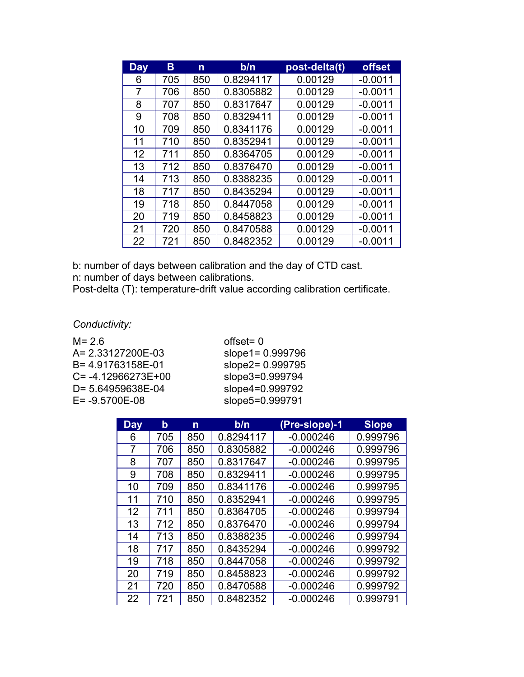| <b>Day</b> | в   | n   | b/n       | post-delta(t) | <b>offset</b> |
|------------|-----|-----|-----------|---------------|---------------|
| 6          | 705 | 850 | 0.8294117 | 0.00129       | $-0.0011$     |
| 7          | 706 | 850 | 0.8305882 | 0.00129       | $-0.0011$     |
| 8          | 707 | 850 | 0.8317647 | 0.00129       | $-0.0011$     |
| 9          | 708 | 850 | 0.8329411 | 0.00129       | $-0.0011$     |
| 10         | 709 | 850 | 0.8341176 | 0.00129       | $-0.0011$     |
| 11         | 710 | 850 | 0.8352941 | 0.00129       | $-0.0011$     |
| 12         | 711 | 850 | 0.8364705 | 0.00129       | $-0.0011$     |
| 13         | 712 | 850 | 0.8376470 | 0.00129       | $-0.0011$     |
| 14         | 713 | 850 | 0.8388235 | 0.00129       | $-0.0011$     |
| 18         | 717 | 850 | 0.8435294 | 0.00129       | $-0.0011$     |
| 19         | 718 | 850 | 0.8447058 | 0.00129       | $-0.0011$     |
| 20         | 719 | 850 | 0.8458823 | 0.00129       | $-0.0011$     |
| 21         | 720 | 850 | 0.8470588 | 0.00129       | $-0.0011$     |
| 22         | 721 | 850 | 0.8482352 | 0.00129       | $-0.0011$     |

b: number of days between calibration and the day of CTD cast. n: number of days between calibrations.

Post-delta (T): temperature-drift value according calibration certificate.

*Conductivity:*

 $M = 2.6$  offset= 0 A= 2.33127200E-03 slope1= 0.999796<br>B= 4.91763158E-01 slope2= 0.999795  $C = -4.12966273E + 0.999999$ D= 5.64959638E-04 slope4=0.999792<br>E= -9.5700E-08 slope5=0.999791

slope2= 0.999795<br>slope3= 0.999794 slope5=0.999791

| <b>Day</b> | b   | n   | b/n       | (Pre-slope)-1 | <b>Slope</b> |
|------------|-----|-----|-----------|---------------|--------------|
| 6          | 705 | 850 | 0.8294117 | $-0.000246$   | 0.999796     |
| 7          | 706 | 850 | 0.8305882 | $-0.000246$   | 0.999796     |
| 8          | 707 | 850 | 0.8317647 | $-0.000246$   | 0.999795     |
| 9          | 708 | 850 | 0.8329411 | $-0.000246$   | 0.999795     |
| 10         | 709 | 850 | 0.8341176 | $-0.000246$   | 0.999795     |
| 11         | 710 | 850 | 0.8352941 | $-0.000246$   | 0.999795     |
| 12         | 711 | 850 | 0.8364705 | $-0.000246$   | 0.999794     |
| 13         | 712 | 850 | 0.8376470 | $-0.000246$   | 0.999794     |
| 14         | 713 | 850 | 0.8388235 | $-0.000246$   | 0.999794     |
| 18         | 717 | 850 | 0.8435294 | $-0.000246$   | 0.999792     |
| 19         | 718 | 850 | 0.8447058 | $-0.000246$   | 0.999792     |
| 20         | 719 | 850 | 0.8458823 | $-0.000246$   | 0.999792     |
| 21         | 720 | 850 | 0.8470588 | $-0.000246$   | 0.999792     |
| 22         | 721 | 850 | 0.8482352 | $-0.000246$   | 0.999791     |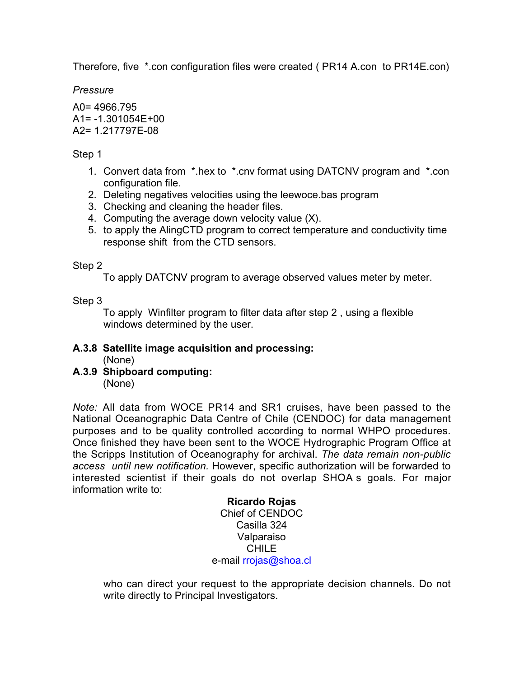Therefore, five \*.con configuration files were created ( PR14 A.con to PR14E.con)

*Pressure*

A0= 4966.795  $A1 = -1.301054E + 00$ A2= 1.217797E-08

Step 1

- 1. Convert data from \*.hex to \*.cnv format using DATCNV program and \*.con configuration file.
- 2. Deleting negatives velocities using the leewoce.bas program
- 3. Checking and cleaning the header files.
- 4. Computing the average down velocity value (X).
- 5. to apply the AlingCTD program to correct temperature and conductivity time response shift from the CTD sensors.

### Step 2

To apply DATCNV program to average observed values meter by meter.

### Step 3

To apply Winfilter program to filter data after step 2 , using a flexible windows determined by the user.

# **A.3.8 Satellite image acquisition and processing:**

(None)

**A.3.9 Shipboard computing:** (None)

*Note:* All data from WOCE PR14 and SR1 cruises, have been passed to the National Oceanographic Data Centre of Chile (CENDOC) for data management purposes and to be quality controlled according to normal WHPO procedures. Once finished they have been sent to the WOCE Hydrographic Program Office at the Scripps Institution of Oceanography for archival. *The data remain non-public access until new notification.* However, specific authorization will be forwarded to interested scientist if their goals do not overlap SHOA s goals. For major information write to:

### **Ricardo Rojas** Chief of CENDOC Casilla 324 Valparaiso CHILE e-mail rrojas@shoa.cl

who can direct your request to the appropriate decision channels. Do not write directly to Principal Investigators.